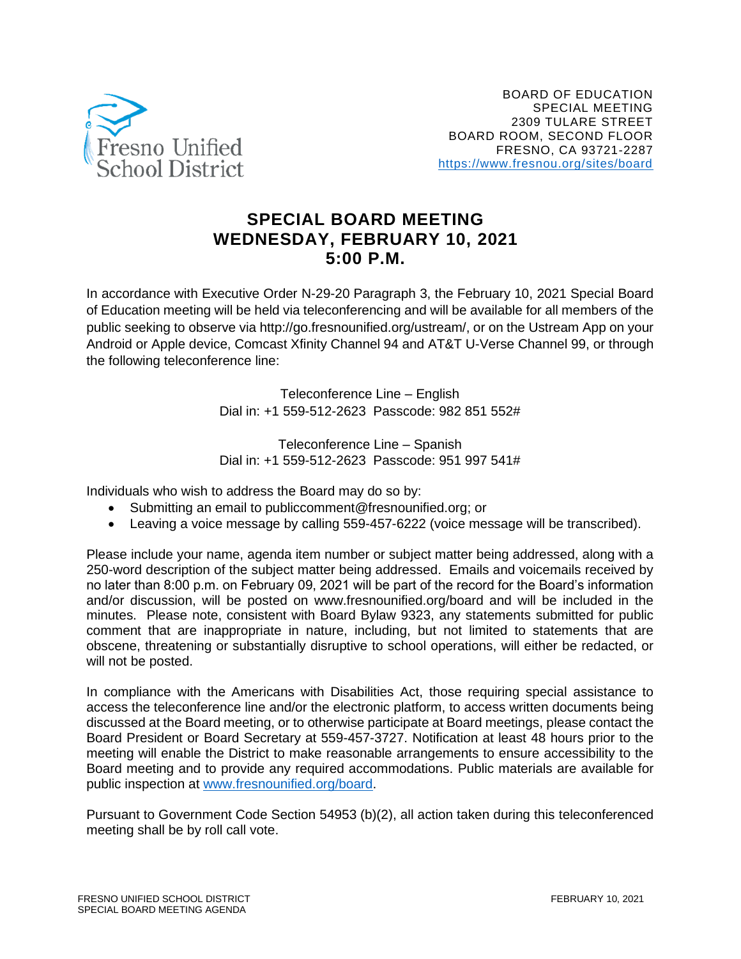

## **SPECIAL BOARD MEETING WEDNESDAY, FEBRUARY 10, 2021 5:00 P.M.**

In accordance with Executive Order N-29-20 Paragraph 3, the February 10, 2021 Special Board of Education meeting will be held via teleconferencing and will be available for all members of the public seeking to observe via http://go.fresnounified.org/ustream/, or on the Ustream App on your Android or Apple device, Comcast Xfinity Channel 94 and AT&T U-Verse Channel 99, or through the following teleconference line:

> Teleconference Line – English Dial in: +1 559-512-2623 Passcode: 982 851 552#

> Teleconference Line – Spanish Dial in: +1 559-512-2623 Passcode: 951 997 541#

Individuals who wish to address the Board may do so by:

- Submitting an email to publiccomment@fresnounified.org; or
- Leaving a voice message by calling 559-457-6222 (voice message will be transcribed).

Please include your name, agenda item number or subject matter being addressed, along with a 250-word description of the subject matter being addressed. Emails and voicemails received by no later than 8:00 p.m. on February 09, 2021 will be part of the record for the Board's information and/or discussion, will be posted on www.fresnounified.org/board and will be included in the minutes. Please note, consistent with Board Bylaw 9323, any statements submitted for public comment that are inappropriate in nature, including, but not limited to statements that are obscene, threatening or substantially disruptive to school operations, will either be redacted, or will not be posted.

In compliance with the Americans with Disabilities Act, those requiring special assistance to access the teleconference line and/or the electronic platform, to access written documents being discussed at the Board meeting, or to otherwise participate at Board meetings, please contact the Board President or Board Secretary at 559-457-3727. Notification at least 48 hours prior to the meeting will enable the District to make reasonable arrangements to ensure accessibility to the Board meeting and to provide any required accommodations. Public materials are available for public inspection at [www.fresnounified.org/board.](http://www.fresnounified.org/board)

Pursuant to Government Code Section 54953 (b)(2), all action taken during this teleconferenced meeting shall be by roll call vote.